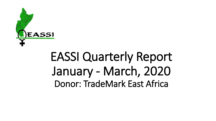

# EASSI Quarterly Report January - March, 2020 Donor: TradeMark East Africa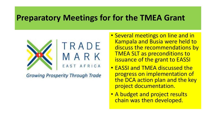#### **Preparatory Meetings for for the TMEA Grant**



**Growing Prosperity Through Trade** 

- Several meetings on line and in Kampala and Busia were held to discuss the recommendations by TMEA SLT as preconditions to issuance of the grant to EASSI
- EASSI and TMEA discussed the progress on implementation of the DCA action plan and the key project documentation.
- A budget and project results chain was then developed.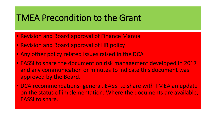#### TMEA Precondition to the Grant

- Revision and Board approval of Finance Manual
- Revision and Board approval of HR policy
- Any other policy related issues raised in the DCA
- EASSI to share the document on risk management developed in 2017 and any communication or minutes to indicate this document was approved by the Board.
- DCA recommendations- general, EASSI to share with TMEA an update on the status of implementation. Where the documents are available, EASSI to share.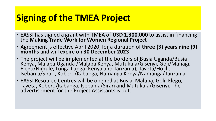# **Signing of the TMEA Project**

- EASSI has signed a grant with TMEA of **USD 1,300,000** to assist in financing the **Making Trade Work for Women Regional Project**
- Agreement is effective April 2020, for a duration of **three (3) years nine (9) months** and will expire on **30 December 2023**
- The project will be implemented at the borders of Busia Uganda/Busia Kenya, Malaba Uganda /Malaba Kenya, Mutukula/Gisenyi, Goli/Mahagi, Elegu/Nimule, Lunga Lunga (Kenya and Tanzania), Taveta/Holili, Isebania/Sirari, Kobero/Kabanga, Namanga Kenya/Namanga/Tanzania
- EASSI Resource Centres will be opened at Busia, Malaba, Goli, Elegu, Taveta, Kobero/Kabanga, Isebania/Sirari and Mutukula/Gisenyi. The advertisement for the Project Assistants is out.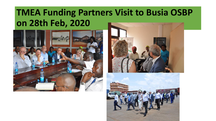## **TMEA Funding Partners Visit to Busia OSBP on 28th Feb, 2020**